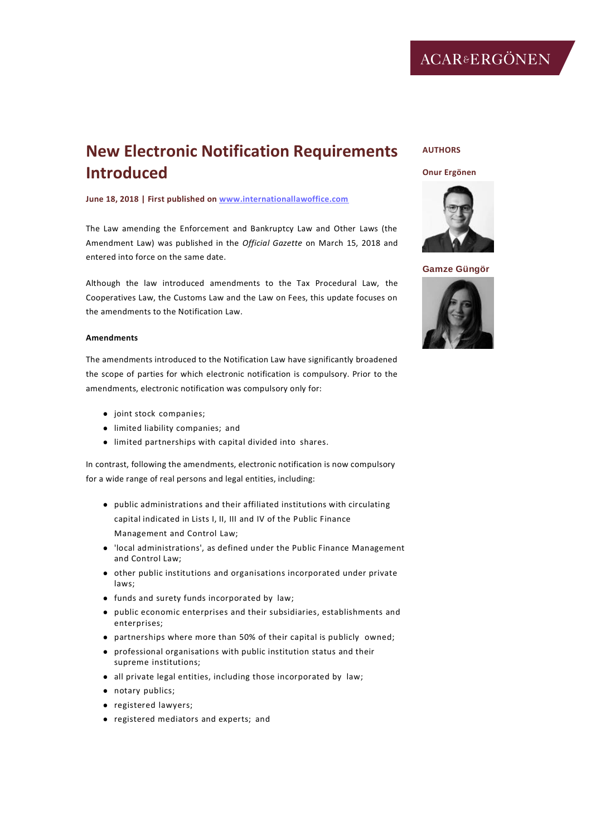# **New Electronic Notification Requirements Introduced**

**June 18, 2018 | First published on [www.internationallawoffice.com](http://www.internationallawoffice.com/)**

The Law amending the Enforcement and Bankruptcy Law and Other Laws (the Amendment Law) was published in the *Official Gazette* on March 15, 2018 and entered into force on the same date.

Although the law introduced amendments to the Tax Procedural Law, the Cooperatives Law, the Customs Law and the Law on Fees, this update focuses on the amendments to the Notification Law.

## **Amendments**

The amendments introduced to the Notification Law have significantly broadened the scope of parties for which electronic notification is compulsory. Prior to the amendments, electronic notification was compulsory only for:

- ⚫ joint stock companies;
- ⚫ limited liability companies; and
- ⚫ limited partnerships with capital divided into shares.

In contrast, following the amendments, electronic notification is now compulsory for a wide range of real persons and legal entities, including:

- ⚫ public administrations and their affiliated institutions with circulating capital indicated in Lists I, II, III and IV of the Public Finance Management and Control Law;
- ⚫ 'local administrations', as defined under the Public Finance Management and Control Law;
- ⚫ other public institutions and organisations incorporated under private laws;
- ⚫ funds and surety funds incorporated by law;
- ⚫ public economic enterprises and their subsidiaries, establishments and enterprises;
- ⚫ partnerships where more than 50% of their capital is publicly owned;
- ⚫ professional organisations with public institution status and their supreme institutions;
- ⚫ all private legal entities, including those incorporated by law;
- ⚫ notary publics;
- ⚫ registered lawyers;
- ⚫ registered mediators and experts; and

## **AUTHORS**

#### **[Onur Ergönen](https://www.internationallawoffice.com/gesr.ashx?l=80C1594)**





**ACAR&ERGÖNEN**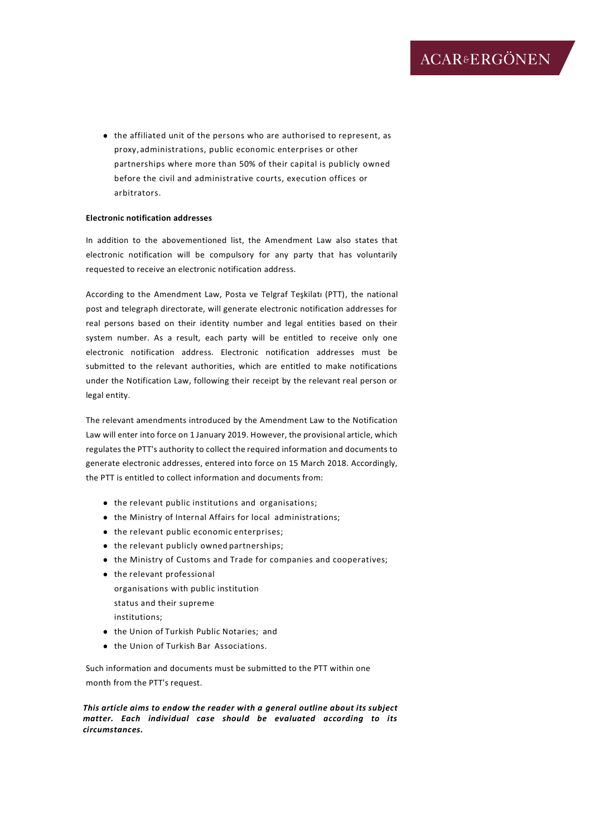⚫ the affiliated unit of the persons who are authorised to represent, as proxy,administrations, public economic enterprises or other partnerships where more than 50% of their capital is publicly owned before the civil and administrative courts, execution offices or arbitrators.

#### **Electronic notification addresses**

In addition to the abovementioned list, the Amendment Law also states that electronic notification will be compulsory for any party that has voluntarily requested to receive an electronic notification address.

According to the Amendment Law, Posta ve Telgraf Teşkilatı (PTT), the national post and telegraph directorate, will generate electronic notification addresses for real persons based on their identity number and legal entities based on their system number. As a result, each party will be entitled to receive only one electronic notification address. Electronic notification addresses must be submitted to the relevant authorities, which are entitled to make notifications under the Notification Law, following their receipt by the relevant real person or legal entity.

The relevant amendments introduced by the Amendment Law to the Notification Law will enter into force on 1 January 2019. However, the provisional article, which regulates the PTT's authority to collect the required information and documents to generate electronic addresses, entered into force on 15 March 2018. Accordingly, the PTT is entitled to collect information and documents from:

- ⚫ the relevant public institutions and organisations;
- ⚫ the Ministry of Internal Affairs for local administrations;
- ⚫ the relevant public economic enterprises;
- ⚫ the relevant publicly owned partnerships;
- ⚫ the Ministry of Customs and Trade for companies and cooperatives;
- ⚫ the relevant professional organisations with public institution status and their supreme institutions;
- ⚫ the Union of Turkish Public Notaries; and
- ⚫ the Union of Turkish Bar Associations.

Such information and documents must be submitted to the PTT within one month from the PTT's request.

*This article aims to endow the reader with a general outline about its subject matter. Each individual case should be evaluated according to its circumstances.*